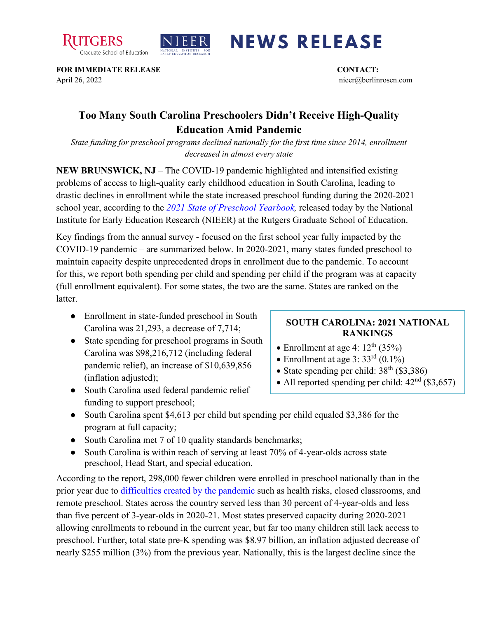



## **NEWS RELEASE**

**FOR IMMEDIATE RELEASE CONTACT:**  April 26, 2022 nieer@berlinrosen.com

## **Too Many South Carolina Preschoolers Didn't Receive High-Quality Education Amid Pandemic**

*State funding for preschool programs declined nationally for the first time since 2014, enrollment decreased in almost every state*

**NEW BRUNSWICK, NJ** – The COVID-19 pandemic highlighted and intensified existing problems of access to high-quality early childhood education in South Carolina, leading to drastic declines in enrollment while the state increased preschool funding during the 2020-2021 school year, according to the *[2021 State of Preschool Yearbook,](https://nieer.org/state-preschool-yearbooks-yearbook2021)* released today by the National Institute for Early Education Research (NIEER) at the Rutgers Graduate School of Education.

Key findings from the annual survey - focused on the first school year fully impacted by the COVID-19 pandemic – are summarized below. In 2020-2021, many states funded preschool to maintain capacity despite unprecedented drops in enrollment due to the pandemic. To account for this, we report both spending per child and spending per child if the program was at capacity (full enrollment equivalent). For some states, the two are the same. States are ranked on the latter.

- Enrollment in state-funded preschool in South Carolina was 21,293, a decrease of 7,714;
- State spending for preschool programs in South Carolina was \$98,216,712 (including federal pandemic relief), an increase of \$10,639,856 (inflation adjusted);
- South Carolina used federal pandemic relief funding to support preschool;

## **SOUTH CAROLINA: 2021 NATIONAL RANKINGS**

- Enrollment at age 4:  $12<sup>th</sup>$  (35%)
- Enrollment at age 3:  $33<sup>rd</sup>$  (0.1%)
- State spending per child:  $38<sup>th</sup>$  (\$3,386)
- All reported spending per child:  $42<sup>nd</sup>$  (\$3,657)
- South Carolina spent \$4,613 per child but spending per child equaled \$3,386 for the program at full capacity;
- South Carolina met 7 of 10 quality standards benchmarks;
- South Carolina is within reach of serving at least 70% of 4-year-olds across state preschool, Head Start, and special education.

According to the report, 298,000 fewer children were enrolled in preschool nationally than in the prior year due to [difficulties created by the pandemic](https://nieer.org/wp-content/uploads/2021/02/NIEER_Seven_Impacts_of_the_Pandemic_on_Young_Children_and_their_Parents.pdf) such as health risks, closed classrooms, and remote preschool. States across the country served less than 30 percent of 4-year-olds and less than five percent of 3-year-olds in 2020-21. Most states preserved capacity during 2020-2021 allowing enrollments to rebound in the current year, but far too many children still lack access to preschool. Further, total state pre-K spending was \$8.97 billion, an inflation adjusted decrease of nearly \$255 million (3%) from the previous year. Nationally, this is the largest decline since the